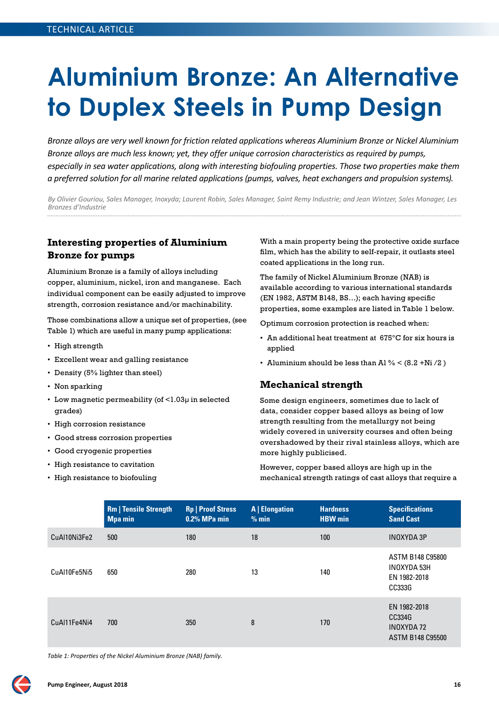# **Aluminium Bronze: An Alternative to Duplex Steels in Pump Design**

*Bronze alloys are very well known for friction related applications whereas Aluminium Bronze or Nickel Aluminium Bronze alloys are much less known; yet, they offer unique corrosion characteristics as required by pumps, especially in sea water applications, along with interesting biofouling properties. Those two properties make them a preferred solution for all marine related applications (pumps, valves, heat exchangers and propulsion systems).*

*By Olivier Gouriou, Sales Manager, Inoxyda; Laurent Robin, Sales Manager, Saint Remy Industrie; and Jean Wintzer, Sales Manager, Les Bronzes d'Industrie* 

# **Interesting properties of Aluminium Bronze for pumps**

Aluminium Bronze is a family of alloys including copper, aluminium, nickel, iron and manganese. Each individual component can be easily adjusted to improve strength, corrosion resistance and/or machinability.

Those combinations allow a unique set of properties, (see Table 1) which are useful in many pump applications:

- High strength
- Excellent wear and galling resistance
- Density (5% lighter than steel)
- Non sparking
- Low magnetic permeability (of <1.03µ in selected grades)
- High corrosion resistance
- Good stress corrosion properties
- Good cryogenic properties
- High resistance to cavitation
- High resistance to biofouling

With a main property being the protective oxide surface flm, which has the ability to self-repair, it outlasts steel coated applications in the long run.

The family of Nickel Aluminium Bronze (NAB) is available according to various international standards (EN 1982, ASTM B148, BS…); each having specifc properties, some examples are listed in Table 1 below.

Optimum corrosion protection is reached when:

- An additional heat treatment at 675°C for six hours is applied
- Aluminium should be less than Al  $\%$  < (8.2 +Ni /2)

#### **Mechanical strength**

Some design engineers, sometimes due to lack of data, consider copper based alloys as being of low strength resulting from the metallurgy not being widely covered in university courses and often being overshadowed by their rival stainless alloys, which are more highly publicised.

However, copper based alloys are high up in the mechanical strength ratings of cast alloys that require a

|              | <b>Rm   Tensile Strength</b><br><b>Mpa min</b> | <b>Rp   Proof Stress</b><br>$0.2\%$ MPa min | <b>A</b>   Elongation<br>% min | <b>Hardness</b><br><b>HBW</b> min | <b>Specifications</b><br><b>Sand Cast</b>                              |
|--------------|------------------------------------------------|---------------------------------------------|--------------------------------|-----------------------------------|------------------------------------------------------------------------|
| CuAI10Ni3Fe2 | 500                                            | 180                                         | 18                             | 100                               | <b>INOXYDA 3P</b>                                                      |
| CuAI10Fe5Ni5 | 650                                            | 280                                         | 13                             | 140                               | ASTM B148 C95800<br><b>INOXYDA 53H</b><br>EN 1982-2018<br>CC333G       |
| CuAl11Fe4Ni4 | 700                                            | 350                                         | 8                              | 170                               | EN 1982-2018<br>CC334G<br><b>INOXYDA 72</b><br><b>ASTM B148 C95500</b> |

*Table 1: Propertes of the Nickel Aluminium Bronze (NAB) family.*

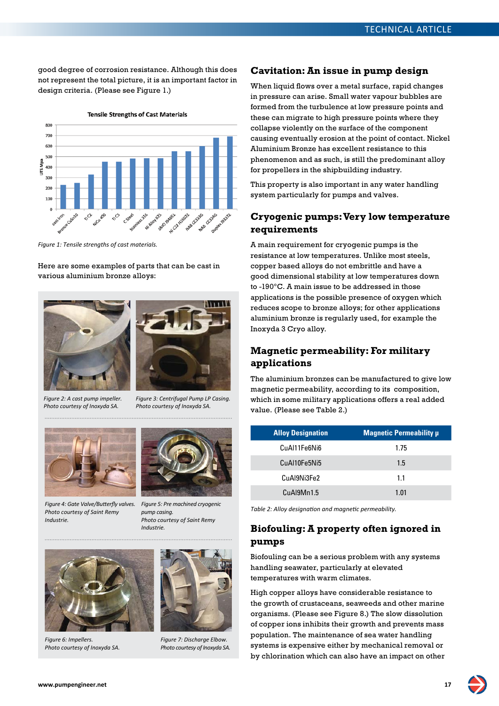good degree of corrosion resistance. Although this does not represent the total picture, it is an important factor in design criteria. (Please see Figure 1.)



*Figure 1: Tensile strengths of cast materials.*

Here are some examples of parts that can be cast in various aluminium bronze alloys:





*Figure 2: A cast pump impeller. Photo courtesy of Inoxyda SA.*

*Figure 3: Centrifugal Pump LP Casing. Photo courtesy of Inoxyda SA.*



*Figure 4: Gate Valve/Buterfy valves. Photo courtesy of Saint Remy Industrie.*



*Figure 5: Pre machined cryogenic pump casing. Photo courtesy of Saint Remy Industrie.*



*Figure 6: Impellers. Photo courtesy of Inoxyda SA.*



*Figure 7: Discharge Elbow. Photo courtesy of Inoxyda SA.*

#### **Cavitation: An issue in pump design**

When liquid flows over a metal surface, rapid changes in pressure can arise. Small water vapour bubbles are formed from the turbulence at low pressure points and these can migrate to high pressure points where they collapse violently on the surface of the component causing eventually erosion at the point of contact. Nickel Aluminium Bronze has excellent resistance to this phenomenon and as such, is still the predominant alloy for propellers in the shipbuilding industry.

This property is also important in any water handling system particularly for pumps and valves.

#### **Cryogenic pumps: Very low temperature requirements**

A main requirement for cryogenic pumps is the resistance at low temperatures. Unlike most steels, copper based alloys do not embrittle and have a good dimensional stability at low temperatures down to -190°C. A main issue to be addressed in those applications is the possible presence of oxygen which reduces scope to bronze alloys; for other applications aluminium bronze is regularly used, for example the Inoxyda 3 Cryo alloy.

# **Magnetic permeability: For military applications**

The aluminium bronzes can be manufactured to give low magnetic permeability, according to its composition, which in some military applications offers a real added value. (Please see Table 2.)

| <b>Alloy Designation</b> | <b>Magnetic Permeability µ</b> |
|--------------------------|--------------------------------|
| CuAl11Fe6Ni6             | 1.75                           |
| CuAI10Fe5Ni5             | 1.5                            |
| CuAl9Ni3Fe2              | 11                             |
| CuAl9Mn1.5               | 1 01                           |

*Table 2: Alloy designaton and magnetc permeability.*

## **Biofouling: A property often ignored in pumps**

Biofouling can be a serious problem with any systems handling seawater, particularly at elevated temperatures with warm climates.

High copper alloys have considerable resistance to the growth of crustaceans, seaweeds and other marine organisms. (Please see Figure 8.) The slow dissolution of copper ions inhibits their growth and prevents mass population. The maintenance of sea water handling systems is expensive either by mechanical removal or by chlorination which can also have an impact on other